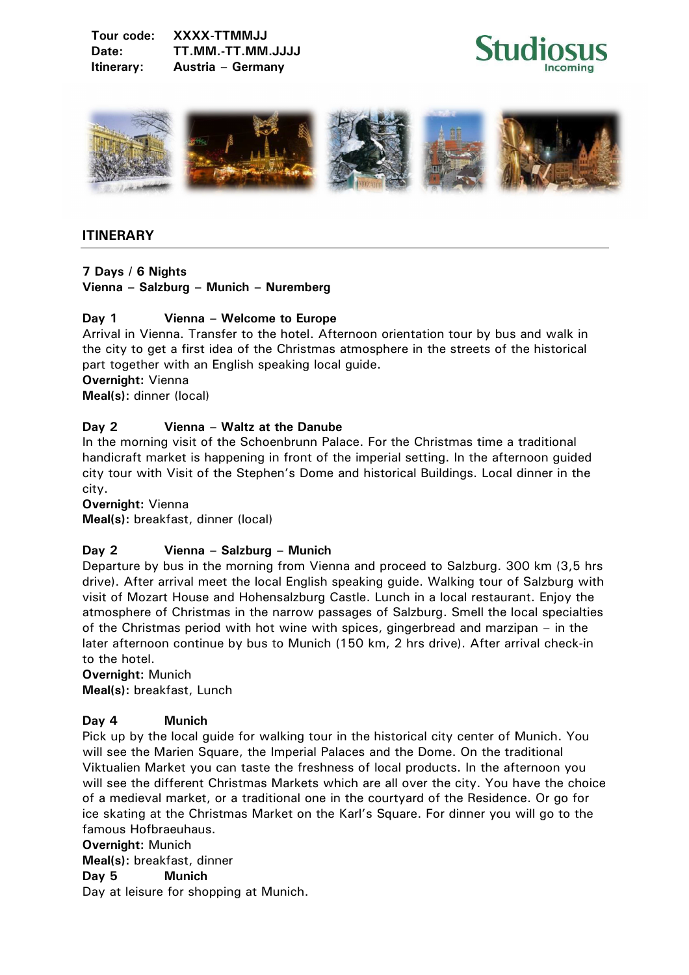



## **ITINERARY**

#### **7 Days / 6 Nights Vienna – Salzburg – Munich – Nuremberg**

## **Day 1 Vienna – Welcome to Europe**

Arrival in Vienna. Transfer to the hotel. Afternoon orientation tour by bus and walk in the city to get a first idea of the Christmas atmosphere in the streets of the historical part together with an English speaking local guide.

**Overnight:** Vienna

**Meal(s):** dinner (local)

## **Day 2 Vienna – Waltz at the Danube**

In the morning visit of the Schoenbrunn Palace. For the Christmas time a traditional handicraft market is happening in front of the imperial setting. In the afternoon guided city tour with Visit of the Stephen's Dome and historical Buildings. Local dinner in the city.

**Overnight:** Vienna **Meal(s):** breakfast, dinner (local)

# **Day 2 Vienna – Salzburg – Munich**

Departure by bus in the morning from Vienna and proceed to Salzburg. 300 km (3,5 hrs drive). After arrival meet the local English speaking guide. Walking tour of Salzburg with visit of Mozart House and Hohensalzburg Castle. Lunch in a local restaurant. Enjoy the atmosphere of Christmas in the narrow passages of Salzburg. Smell the local specialties of the Christmas period with hot wine with spices, gingerbread and marzipan – in the later afternoon continue by bus to Munich (150 km, 2 hrs drive). After arrival check-in to the hotel.

**Overnight:** Munich **Meal(s):** breakfast, Lunch

#### **Day 4 Munich**

Pick up by the local guide for walking tour in the historical city center of Munich. You will see the Marien Square, the Imperial Palaces and the Dome. On the traditional Viktualien Market you can taste the freshness of local products. In the afternoon you will see the different Christmas Markets which are all over the city. You have the choice of a medieval market, or a traditional one in the courtyard of the Residence. Or go for ice skating at the Christmas Market on the Karl's Square. For dinner you will go to the famous Hofbraeuhaus.

#### **Overnight:** Munich

**Meal(s):** breakfast, dinner

**Day 5 Munich** 

Day at leisure for shopping at Munich.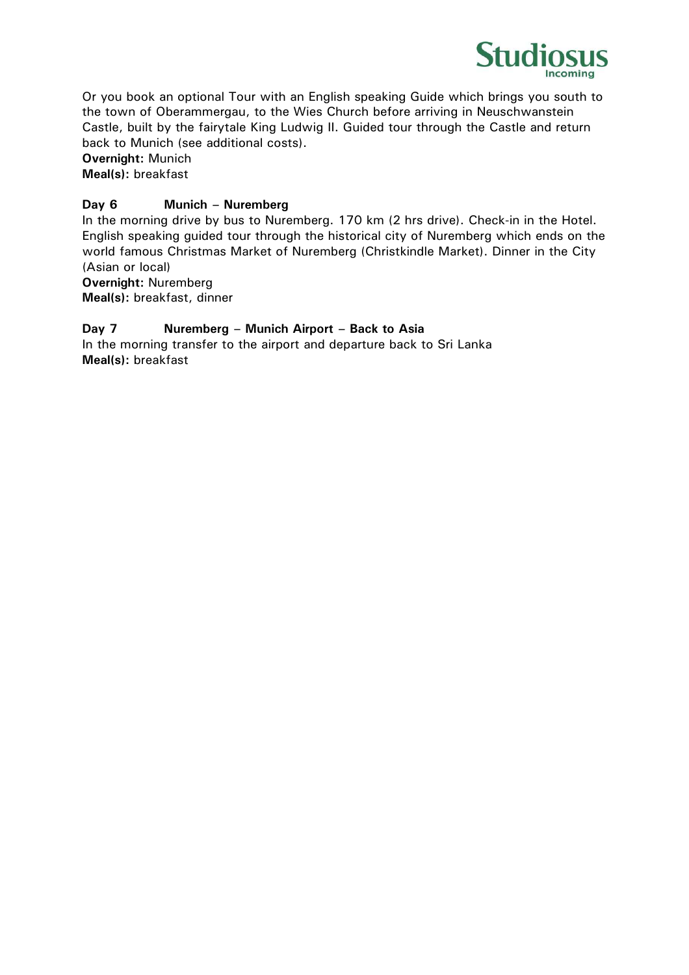

Or you book an optional Tour with an English speaking Guide which brings you south to the town of Oberammergau, to the Wies Church before arriving in Neuschwanstein Castle, built by the fairytale King Ludwig II. Guided tour through the Castle and return back to Munich (see additional costs).

**Overnight:** Munich **Meal(s):** breakfast

## **Day 6 Munich – Nuremberg**

In the morning drive by bus to Nuremberg. 170 km (2 hrs drive). Check-in in the Hotel. English speaking guided tour through the historical city of Nuremberg which ends on the world famous Christmas Market of Nuremberg (Christkindle Market). Dinner in the City (Asian or local) **Overnight:** Nuremberg

**Meal(s):** breakfast, dinner

## **Day 7 Nuremberg – Munich Airport – Back to Asia**

In the morning transfer to the airport and departure back to Sri Lanka **Meal(s):** breakfast